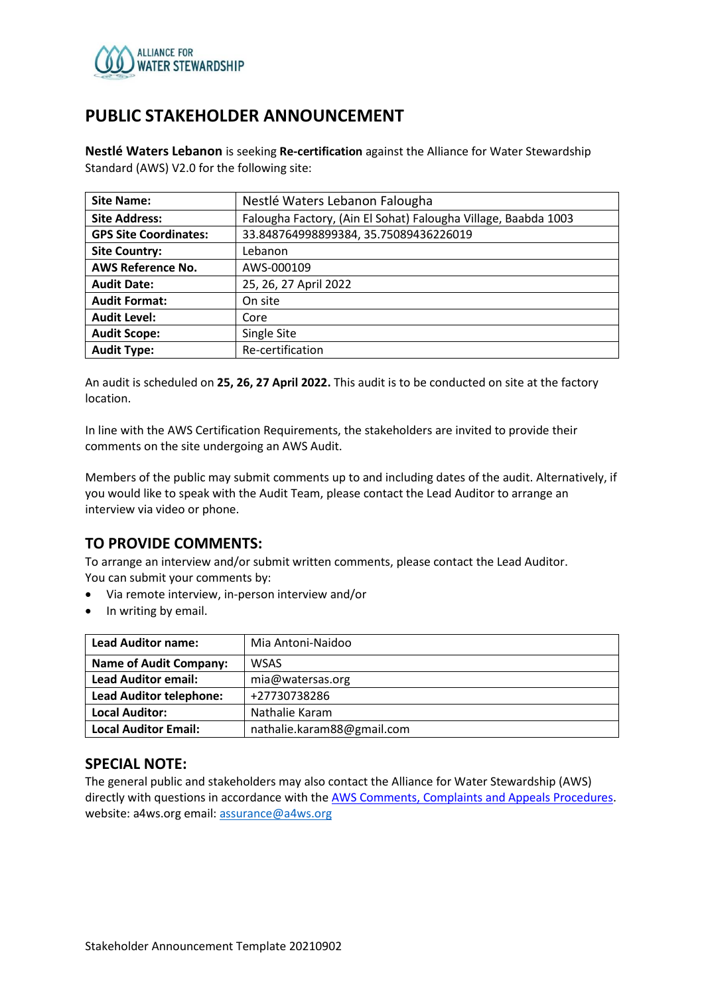

## **PUBLIC STAKEHOLDER ANNOUNCEMENT**

**Nestlé Waters Lebanon** is seeking **Re-certification** against the Alliance for Water Stewardship Standard (AWS) V2.0 for the following site:

| <b>Site Name:</b>            | Nestlé Waters Lebanon Falougha                                 |  |
|------------------------------|----------------------------------------------------------------|--|
| <b>Site Address:</b>         | Falougha Factory, (Ain El Sohat) Falougha Village, Baabda 1003 |  |
| <b>GPS Site Coordinates:</b> | 33.848764998899384, 35.75089436226019                          |  |
| <b>Site Country:</b>         | Lebanon                                                        |  |
| <b>AWS Reference No.</b>     | AWS-000109                                                     |  |
| <b>Audit Date:</b>           | 25, 26, 27 April 2022                                          |  |
| <b>Audit Format:</b>         | On site                                                        |  |
| <b>Audit Level:</b>          | Core                                                           |  |
| <b>Audit Scope:</b>          | Single Site                                                    |  |
| <b>Audit Type:</b>           | Re-certification                                               |  |

An audit is scheduled on **25, 26, 27 April 2022.** This audit is to be conducted on site at the factory location.

In line with the AWS Certification Requirements, the stakeholders are invited to provide their comments on the site undergoing an AWS Audit.

Members of the public may submit comments up to and including dates of the audit. Alternatively, if you would like to speak with the Audit Team, please contact the Lead Auditor to arrange an interview via video or phone.

## **TO PROVIDE COMMENTS:**

To arrange an interview and/or submit written comments, please contact the Lead Auditor. You can submit your comments by:

- Via remote interview, in-person interview and/or
- In writing by email.

| <b>Lead Auditor name:</b>      | Mia Antoni-Naidoo          |
|--------------------------------|----------------------------|
| <b>Name of Audit Company:</b>  | <b>WSAS</b>                |
| <b>Lead Auditor email:</b>     | mia@watersas.org           |
| <b>Lead Auditor telephone:</b> | +27730738286               |
| <b>Local Auditor:</b>          | Nathalie Karam             |
| <b>Local Auditor Email:</b>    | nathalie.karam88@gmail.com |

#### **SPECIAL NOTE:**

The general public and stakeholders may also contact the Alliance for Water Stewardship (AWS) directly with questions in accordance with th[e AWS Comments, Complaints and Appeals Procedures.](https://a4ws.org/about/comments-complaints-and-appeals/) website: a4ws.org email[: assurance@a4ws.org](mailto:assurance@a4ws.org)